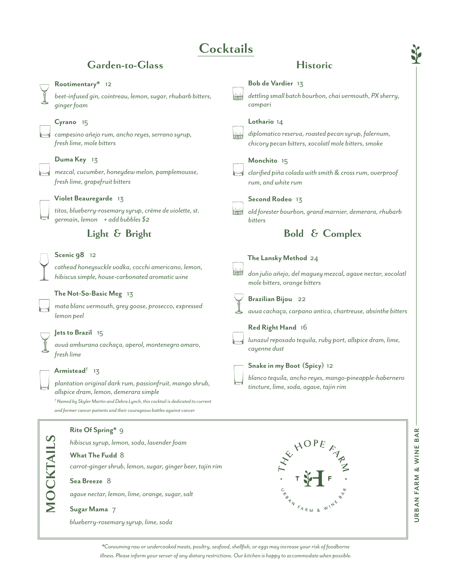## **Cocktails**

**Bob de Vardier** 13

## Garden-to-Glass Historic

## **Rootimentary\*** 12

*beet-infused gin, cointreau, lemon, sugar, rhubarb bitters, ginger foam*

## **Cyrano** 15

*campesino añejo rum, ancho reyes, serrano syrup, fresh lime, mole bitters*

## **Duma Key** 13

*mezcal, cucumber, honeydew melon, pamplemousse, fresh lime, grapefruit bitters*

## **Violet Beauregarde** 13

*titos, blueberry-rosemary syrup, crème de violette, st. germain, lemon + add bubbles \$2*

## **Light & Bright**

### **Scenic 98** 12

*cathead honeysuckle vodka, cocchi americano, lemon, hibiscus simple, house-carbonated aromatic wine*

### **The Not-So-Basic Meg** 13

*mata blanc vermouth, grey goose, prosecco, expressed lemon peel*

## **Jets to Brazil** 15

*avuá amburana cachaça, aperol, montenegro amaro, fresh lime*

## **Armistead†** 13

*plantation original dark rum, passionfruit, mango shrub, allspice dram, lemon, demerara simple † Named by Skyler Martin and Debra Lynch, this cocktail is dedicated to current* 

*and former cancer patients and their courageous battles against cancer*

## **MOCKTAILS MOCKTAILS**

## **Rite Of Spring\*** 9

*hibiscus syrup, lemon, soda, lavender foam* **What The Fudd** 8 *carrot-ginger shrub, lemon, sugar, ginger beer, tajin rim* **Sea Breeze** 8 *agave nectar, lemon, lime, orange, sugar, salt*

## **Sugar Mama** 7

*blueberry-rosemary syrup, lime, soda*



*dettling small batch bourbon, chai vermouth, PX sherry,* 

*campari* **Lothario** 14 *diplomatico reserva, roasted pecan syrup, falernum, chicory pecan bitters, xocolatl mole bitters, smoke* **Monchito** 15 *clarified piña colada with smith & cross rum, overproof rum, and white rum* **Second Rodeo** 13 *old forester bourbon, grand marnier, demerara, rhubarb bitters* **The Lansky Method** 24 *don julio añejo, del maguey mezcal, agave nectar, xocolatl mole bitters, orange bitters* **Brazilian Bijou** 22 *avua cachaça, carpano antica, chartreuse, absinthe bitters* **Red Right Hand** 16 *lunazul reposado tequila, ruby port, allspice dram, lime, cayenne dust* **Snake in my Boot (Spicy)** 12 *blanco tequila, ancho reyes, mango-pineapple-habernero tincture, lime, soda, agave, tajin rim*  **Bold & Complex**



*\*Consuming raw or undercooked meats, poultry, seafood, shellfish, or eggs may increase your risk of foodborne illness. Please inform your server of any dietary restrictions. Our kitchen is happy to accommodate when possible.*